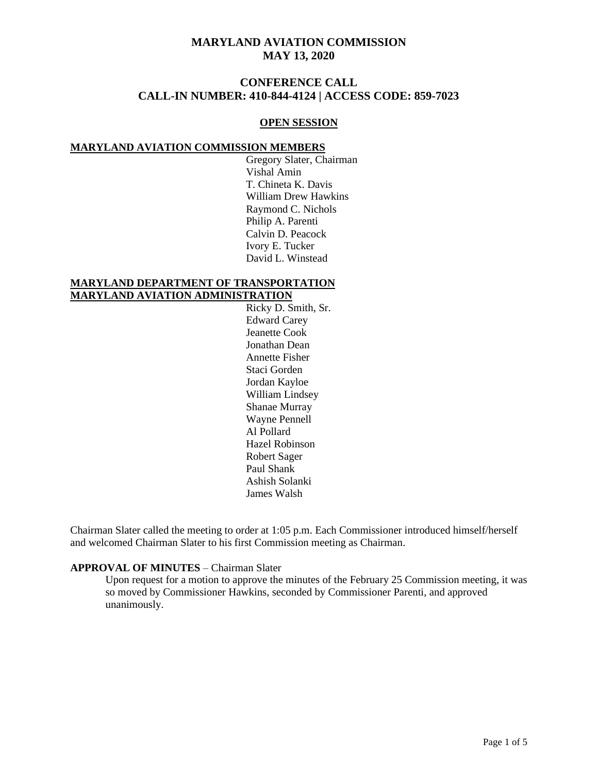# **CONFERENCE CALL CALL-IN NUMBER: 410-844-4124 | ACCESS CODE: 859-7023**

### **OPEN SESSION**

### **MARYLAND AVIATION COMMISSION MEMBERS**

Gregory Slater, Chairman Vishal Amin T. Chineta K. Davis William Drew Hawkins Raymond C. Nichols Philip A. Parenti Calvin D. Peacock Ivory E. Tucker David L. Winstead

### **MARYLAND DEPARTMENT OF TRANSPORTATION MARYLAND AVIATION ADMINISTRATION**

Ricky D. Smith, Sr. Edward Carey Jeanette Cook Jonathan Dean Annette Fisher Staci Gorden Jordan Kayloe William Lindsey Shanae Murray Wayne Pennell Al Pollard Hazel Robinson Robert Sager Paul Shank Ashish Solanki James Walsh

Chairman Slater called the meeting to order at 1:05 p.m. Each Commissioner introduced himself/herself and welcomed Chairman Slater to his first Commission meeting as Chairman.

### **APPROVAL OF MINUTES** – Chairman Slater

Upon request for a motion to approve the minutes of the February 25 Commission meeting, it was so moved by Commissioner Hawkins, seconded by Commissioner Parenti, and approved unanimously.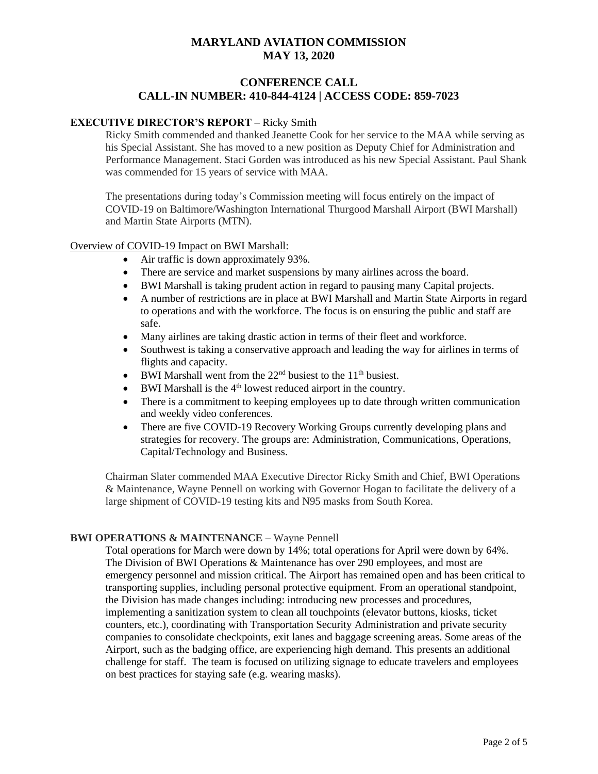# **CONFERENCE CALL CALL-IN NUMBER: 410-844-4124 | ACCESS CODE: 859-7023**

### **EXECUTIVE DIRECTOR'S REPORT** – Ricky Smith

Ricky Smith commended and thanked Jeanette Cook for her service to the MAA while serving as his Special Assistant. She has moved to a new position as Deputy Chief for Administration and Performance Management. Staci Gorden was introduced as his new Special Assistant. Paul Shank was commended for 15 years of service with MAA.

The presentations during today's Commission meeting will focus entirely on the impact of COVID-19 on Baltimore/Washington International Thurgood Marshall Airport (BWI Marshall) and Martin State Airports (MTN).

#### Overview of COVID-19 Impact on BWI Marshall:

- Air traffic is down approximately 93%.
- There are service and market suspensions by many airlines across the board.
- BWI Marshall is taking prudent action in regard to pausing many Capital projects.
- A number of restrictions are in place at BWI Marshall and Martin State Airports in regard to operations and with the workforce. The focus is on ensuring the public and staff are safe.
- Many airlines are taking drastic action in terms of their fleet and workforce.
- Southwest is taking a conservative approach and leading the way for airlines in terms of flights and capacity.
- BWI Marshall went from the  $22<sup>nd</sup>$  busiest to the  $11<sup>th</sup>$  busiest.
- BWI Marshall is the  $4<sup>th</sup>$  lowest reduced airport in the country.
- There is a commitment to keeping employees up to date through written communication and weekly video conferences.
- There are five COVID-19 Recovery Working Groups currently developing plans and strategies for recovery. The groups are: Administration, Communications, Operations, Capital/Technology and Business.

Chairman Slater commended MAA Executive Director Ricky Smith and Chief, BWI Operations & Maintenance, Wayne Pennell on working with Governor Hogan to facilitate the delivery of a large shipment of COVID-19 testing kits and N95 masks from South Korea.

### **BWI OPERATIONS & MAINTENANCE – Wayne Pennell**

Total operations for March were down by 14%; total operations for April were down by 64%. The Division of BWI Operations & Maintenance has over 290 employees, and most are emergency personnel and mission critical. The Airport has remained open and has been critical to transporting supplies, including personal protective equipment. From an operational standpoint, the Division has made changes including: introducing new processes and procedures, implementing a sanitization system to clean all touchpoints (elevator buttons, kiosks, ticket counters, etc.), coordinating with Transportation Security Administration and private security companies to consolidate checkpoints, exit lanes and baggage screening areas. Some areas of the Airport, such as the badging office, are experiencing high demand. This presents an additional challenge for staff. The team is focused on utilizing signage to educate travelers and employees on best practices for staying safe (e.g. wearing masks).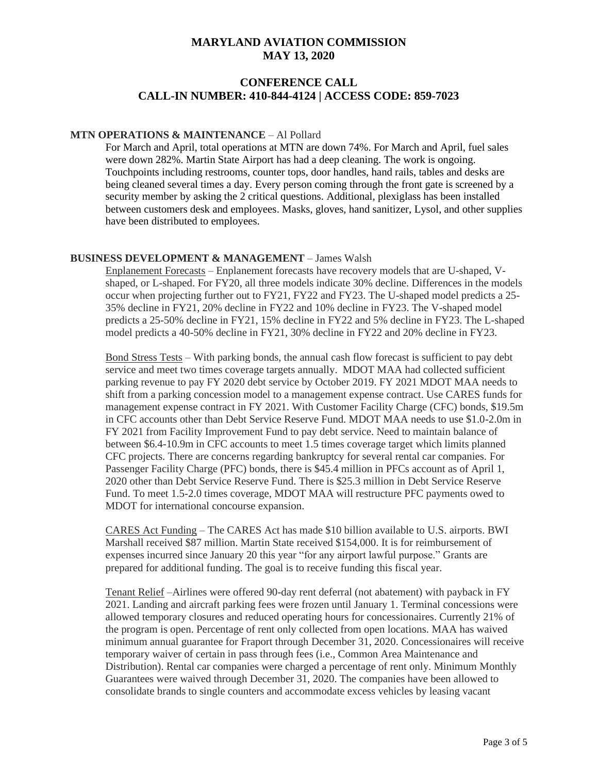# **CONFERENCE CALL CALL-IN NUMBER: 410-844-4124 | ACCESS CODE: 859-7023**

### **MTN OPERATIONS & MAINTENANCE** – Al Pollard

For March and April, total operations at MTN are down 74%. For March and April, fuel sales were down 282%. Martin State Airport has had a deep cleaning. The work is ongoing. Touchpoints including restrooms, counter tops, door handles, hand rails, tables and desks are being cleaned several times a day. Every person coming through the front gate is screened by a security member by asking the 2 critical questions. Additional, plexiglass has been installed between customers desk and employees. Masks, gloves, hand sanitizer, Lysol, and other supplies have been distributed to employees.

### **BUSINESS DEVELOPMENT & MANAGEMENT** – James Walsh

Enplanement Forecasts – Enplanement forecasts have recovery models that are U-shaped, Vshaped, or L-shaped. For FY20, all three models indicate 30% decline. Differences in the models occur when projecting further out to FY21, FY22 and FY23. The U-shaped model predicts a 25- 35% decline in FY21, 20% decline in FY22 and 10% decline in FY23. The V-shaped model predicts a 25-50% decline in FY21, 15% decline in FY22 and 5% decline in FY23. The L-shaped model predicts a 40-50% decline in FY21, 30% decline in FY22 and 20% decline in FY23.

Bond Stress Tests – With parking bonds, the annual cash flow forecast is sufficient to pay debt service and meet two times coverage targets annually. MDOT MAA had collected sufficient parking revenue to pay FY 2020 debt service by October 2019. FY 2021 MDOT MAA needs to shift from a parking concession model to a management expense contract. Use CARES funds for management expense contract in FY 2021. With Customer Facility Charge (CFC) bonds, \$19.5m in CFC accounts other than Debt Service Reserve Fund. MDOT MAA needs to use \$1.0-2.0m in FY 2021 from Facility Improvement Fund to pay debt service. Need to maintain balance of between \$6.4-10.9m in CFC accounts to meet 1.5 times coverage target which limits planned CFC projects. There are concerns regarding bankruptcy for several rental car companies. For Passenger Facility Charge (PFC) bonds, there is \$45.4 million in PFCs account as of April 1, 2020 other than Debt Service Reserve Fund. There is \$25.3 million in Debt Service Reserve Fund. To meet 1.5-2.0 times coverage, MDOT MAA will restructure PFC payments owed to MDOT for international concourse expansion.

CARES Act Funding – The CARES Act has made \$10 billion available to U.S. airports. BWI Marshall received \$87 million. Martin State received \$154,000. It is for reimbursement of expenses incurred since January 20 this year "for any airport lawful purpose." Grants are prepared for additional funding. The goal is to receive funding this fiscal year.

Tenant Relief –Airlines were offered 90-day rent deferral (not abatement) with payback in FY 2021. Landing and aircraft parking fees were frozen until January 1. Terminal concessions were allowed temporary closures and reduced operating hours for concessionaires. Currently 21% of the program is open. Percentage of rent only collected from open locations. MAA has waived minimum annual guarantee for Fraport through December 31, 2020. Concessionaires will receive temporary waiver of certain in pass through fees (i.e., Common Area Maintenance and Distribution). Rental car companies were charged a percentage of rent only. Minimum Monthly Guarantees were waived through December 31, 2020. The companies have been allowed to consolidate brands to single counters and accommodate excess vehicles by leasing vacant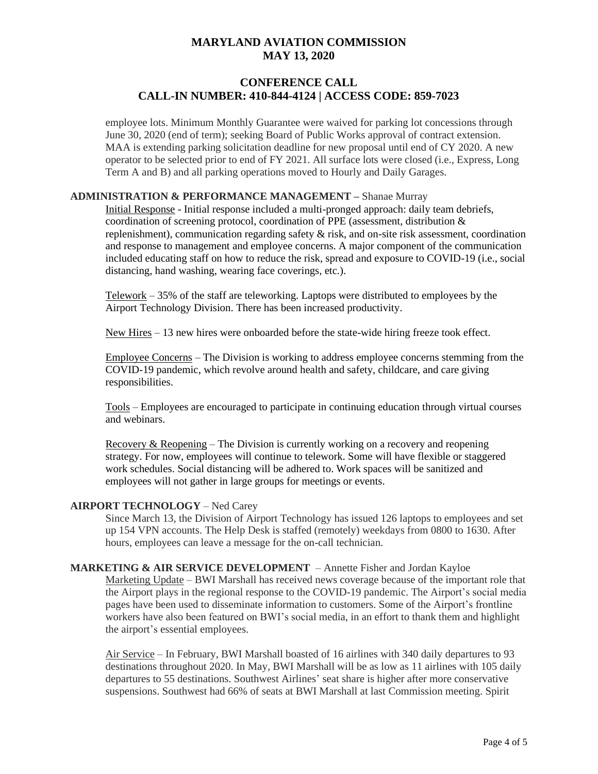# **CONFERENCE CALL CALL-IN NUMBER: 410-844-4124 | ACCESS CODE: 859-7023**

employee lots. Minimum Monthly Guarantee were waived for parking lot concessions through June 30, 2020 (end of term); seeking Board of Public Works approval of contract extension. MAA is extending parking solicitation deadline for new proposal until end of CY 2020. A new operator to be selected prior to end of FY 2021. All surface lots were closed (i.e., Express, Long Term A and B) and all parking operations moved to Hourly and Daily Garages.

### **ADMINISTRATION & PERFORMANCE MANAGEMENT –** Shanae Murray

Initial Response - Initial response included a multi-pronged approach: daily team debriefs, coordination of screening protocol, coordination of PPE (assessment, distribution & replenishment), communication regarding safety  $\&$  risk, and on-site risk assessment, coordination and response to management and employee concerns. A major component of the communication included educating staff on how to reduce the risk, spread and exposure to COVID-19 (i.e., social distancing, hand washing, wearing face coverings, etc.).

 $Telework - 35%$  of the staff are teleworking. Laptops were distributed to employees by the Airport Technology Division. There has been increased productivity.

New Hires – 13 new hires were onboarded before the state-wide hiring freeze took effect.

Employee Concerns – The Division is working to address employee concerns stemming from the COVID-19 pandemic, which revolve around health and safety, childcare, and care giving responsibilities.

Tools – Employees are encouraged to participate in continuing education through virtual courses and webinars.

Recovery & Reopening – The Division is currently working on a recovery and reopening strategy. For now, employees will continue to telework. Some will have flexible or staggered work schedules. Social distancing will be adhered to. Work spaces will be sanitized and employees will not gather in large groups for meetings or events.

### **AIRPORT TECHNOLOGY** – Ned Carey

Since March 13, the Division of Airport Technology has issued 126 laptops to employees and set up 154 VPN accounts. The Help Desk is staffed (remotely) weekdays from 0800 to 1630. After hours, employees can leave a message for the on-call technician.

#### **MARKETING & AIR SERVICE DEVELOPMENT** – Annette Fisher and Jordan Kayloe

Marketing Update – BWI Marshall has received news coverage because of the important role that the Airport plays in the regional response to the COVID-19 pandemic. The Airport's social media pages have been used to disseminate information to customers. Some of the Airport's frontline workers have also been featured on BWI's social media, in an effort to thank them and highlight the airport's essential employees.

Air Service – In February, BWI Marshall boasted of 16 airlines with 340 daily departures to 93 destinations throughout 2020. In May, BWI Marshall will be as low as 11 airlines with 105 daily departures to 55 destinations. Southwest Airlines' seat share is higher after more conservative suspensions. Southwest had 66% of seats at BWI Marshall at last Commission meeting. Spirit